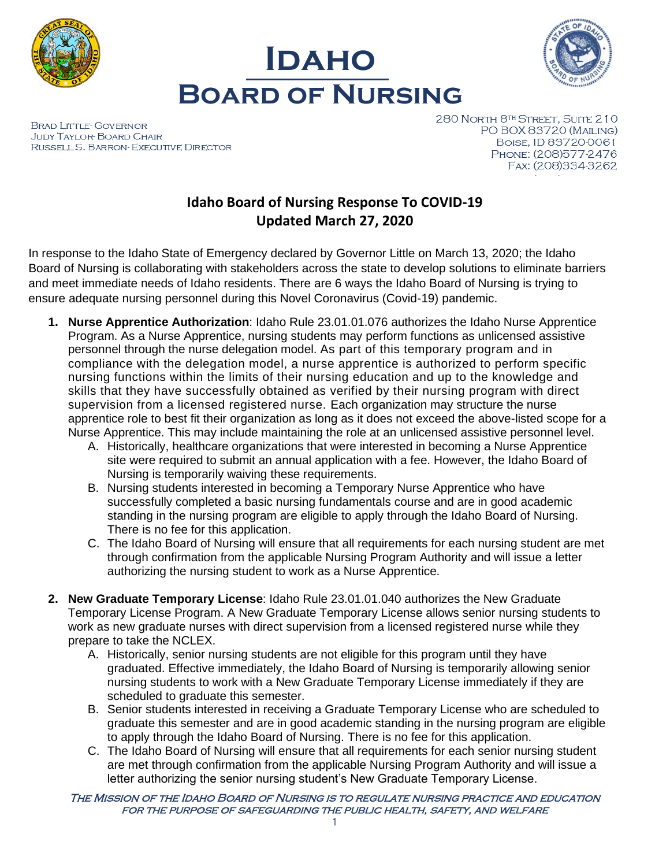





BRAD LITTLE-GOVERNOR **JUDY TAYLOR-BOARD CHAIR** RUSSELL S. BARRON-EXECUTIVE DIRECTOR 280 NORTH 8TH STREET, SUITE 210 PO BOX 83720 (MAILING) BOISE, ID 83720-0061 PHONE: (208)577-2476 FAX: (208)334-3262

# **Idaho Board of Nursing Response To COVID-19 Updated March 27, 2020**

In response to the Idaho State of Emergency declared by Governor Little on March 13, 2020; the Idaho Board of Nursing is collaborating with stakeholders across the state to develop solutions to eliminate barriers and meet immediate needs of Idaho residents. There are 6 ways the Idaho Board of Nursing is trying to ensure adequate nursing personnel during this Novel Coronavirus (Covid-19) pandemic.

- **1. Nurse Apprentice Authorization**: Idaho Rule 23.01.01.076 authorizes the Idaho Nurse Apprentice Program. As a Nurse Apprentice, nursing students may perform functions as unlicensed assistive personnel through the nurse delegation model. As part of this temporary program and in compliance with the delegation model, a nurse apprentice is authorized to perform specific nursing functions within the limits of their nursing education and up to the knowledge and skills that they have successfully obtained as verified by their nursing program with direct supervision from a licensed registered nurse. Each organization may structure the nurse apprentice role to best fit their organization as long as it does not exceed the above-listed scope for a Nurse Apprentice. This may include maintaining the role at an unlicensed assistive personnel level.
	- A. Historically, healthcare organizations that were interested in becoming a Nurse Apprentice site were required to submit an annual application with a fee. However, the Idaho Board of Nursing is temporarily waiving these requirements.
	- B. Nursing students interested in becoming a Temporary Nurse Apprentice who have successfully completed a basic nursing fundamentals course and are in good academic standing in the nursing program are eligible to apply through the Idaho Board of Nursing. There is no fee for this application.
	- C. The Idaho Board of Nursing will ensure that all requirements for each nursing student are met through confirmation from the applicable Nursing Program Authority and will issue a letter authorizing the nursing student to work as a Nurse Apprentice.
- **2. New Graduate Temporary License**: Idaho Rule 23.01.01.040 authorizes the New Graduate Temporary License Program. A New Graduate Temporary License allows senior nursing students to work as new graduate nurses with direct supervision from a licensed registered nurse while they prepare to take the NCLEX.
	- A. Historically, senior nursing students are not eligible for this program until they have graduated. Effective immediately, the Idaho Board of Nursing is temporarily allowing senior nursing students to work with a New Graduate Temporary License immediately if they are scheduled to graduate this semester.
	- B. Senior students interested in receiving a Graduate Temporary License who are scheduled to graduate this semester and are in good academic standing in the nursing program are eligible to apply through the Idaho Board of Nursing. There is no fee for this application.
	- C. The Idaho Board of Nursing will ensure that all requirements for each senior nursing student are met through confirmation from the applicable Nursing Program Authority and will issue a letter authorizing the senior nursing student's New Graduate Temporary License.

The Mission of the Idaho Board of Nursing is to regulate nursing practice and education for the purpose of safeguarding the public health, safety, and welfare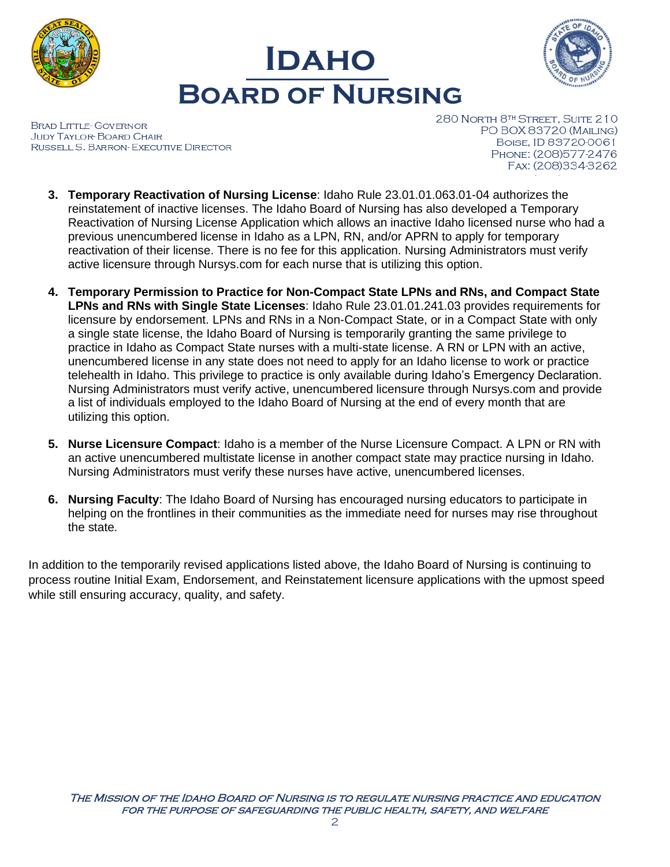





BRAD LITTLE-GOVERNOR **JUDY TAYLOR-BOARD CHAIR** RUSSELL S. BARRON- EXECUTIVE DIRECTOR 280 NORTH 8TH STREET, SUITE 210 PO BOX 83720 (MAILING) BOISE, ID 83720-0061 PHONE: (208)577-2476 FAX: (208)334-3262

- **3. Temporary Reactivation of Nursing License**: Idaho Rule 23.01.01.063.01-04 authorizes the reinstatement of inactive licenses. The Idaho Board of Nursing has also developed a Temporary Reactivation of Nursing License Application which allows an inactive Idaho licensed nurse who had a previous unencumbered license in Idaho as a LPN, RN, and/or APRN to apply for temporary reactivation of their license. There is no fee for this application. Nursing Administrators must verify active licensure through Nursys.com for each nurse that is utilizing this option.
- **4. Temporary Permission to Practice for Non-Compact State LPNs and RNs, and Compact State LPNs and RNs with Single State Licenses**: Idaho Rule 23.01.01.241.03 provides requirements for licensure by endorsement. LPNs and RNs in a Non-Compact State, or in a Compact State with only a single state license, the Idaho Board of Nursing is temporarily granting the same privilege to practice in Idaho as Compact State nurses with a multi-state license. A RN or LPN with an active, unencumbered license in any state does not need to apply for an Idaho license to work or practice telehealth in Idaho. This privilege to practice is only available during Idaho's Emergency Declaration. Nursing Administrators must verify active, unencumbered licensure through Nursys.com and provide a list of individuals employed to the Idaho Board of Nursing at the end of every month that are utilizing this option.
- **5. Nurse Licensure Compact**: Idaho is a member of the Nurse Licensure Compact. A LPN or RN with an active unencumbered multistate license in another compact state may practice nursing in Idaho. Nursing Administrators must verify these nurses have active, unencumbered licenses.
- **6. Nursing Faculty**: The Idaho Board of Nursing has encouraged nursing educators to participate in helping on the frontlines in their communities as the immediate need for nurses may rise throughout the state.

In addition to the temporarily revised applications listed above, the Idaho Board of Nursing is continuing to process routine Initial Exam, Endorsement, and Reinstatement licensure applications with the upmost speed while still ensuring accuracy, quality, and safety.